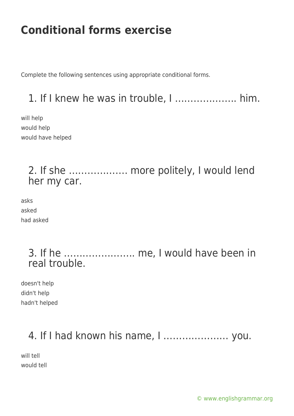Complete the following sentences using appropriate conditional forms.

## 1. If I knew he was in trouble, I ……………….. him.

will help would help would have helped

### 2. If she ………………. more politely, I would lend her my car.

asks asked had asked

### 3. If he ………………….. me, I would have been in real trouble.

doesn't help didn't help hadn't helped

## 4. If I had known his name, I ………………… you.

will tell would tell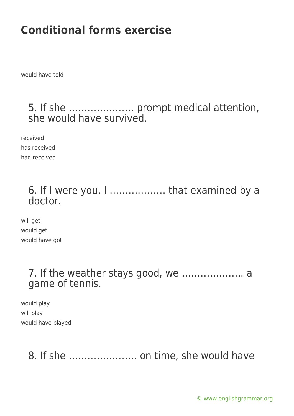would have told

#### 5. If she ………………… prompt medical attention, she would have survived.

received has received had received

## 6. If I were you, I ……………… that examined by a doctor.

will get would get would have got

#### 7. If the weather stays good, we ……………….. a game of tennis.

would play will play would have played

8. If she …………………. on time, she would have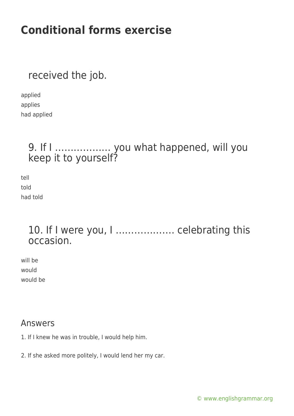received the job.

applied applies had applied

### 9. If I ……………… you what happened, will you keep it to yourself?

tell told had told

### 10. If I were you, I ………………. celebrating this occasion.

will be would would be

#### Answers

1. If I knew he was in trouble, I would help him.

2. If she asked more politely, I would lend her my car.